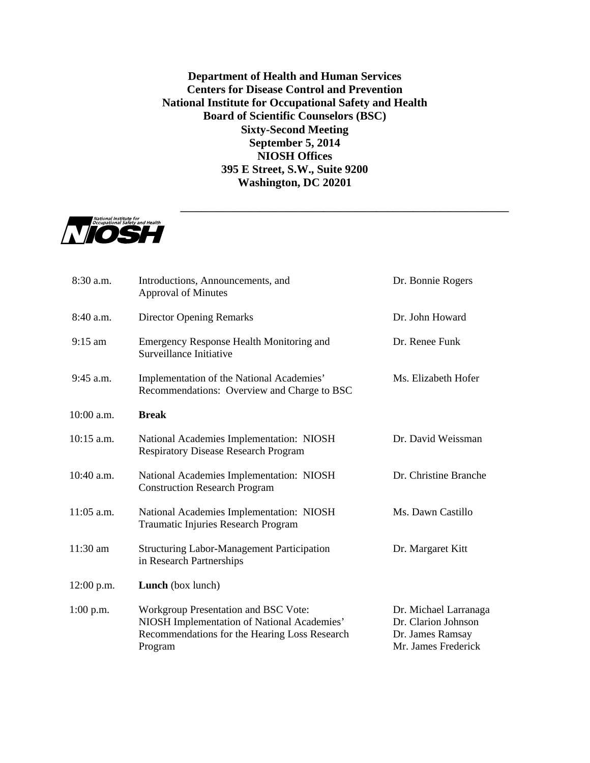**Department of Health and Human Services Centers for Disease Control and Prevention National Institute for Occupational Safety and Health Board of Scientific Counselors (BSC) Sixty-Second Meeting September 5, 2014 NIOSH Offices 395 E Street, S.W., Suite 9200 Washington, DC 20201**

**\_\_\_\_\_\_\_\_\_\_\_\_\_\_\_\_\_\_\_\_\_\_\_\_\_\_\_\_\_\_\_\_\_\_\_\_\_\_\_\_\_\_\_\_\_\_\_\_\_\_\_\_\_\_\_\_\_\_\_\_\_\_**



| 8:30 a.m.    | Introductions, Announcements, and<br><b>Approval of Minutes</b>                                                                                 | Dr. Bonnie Rogers                                                                       |
|--------------|-------------------------------------------------------------------------------------------------------------------------------------------------|-----------------------------------------------------------------------------------------|
| $8:40$ a.m.  | <b>Director Opening Remarks</b>                                                                                                                 | Dr. John Howard                                                                         |
| $9:15$ am    | Emergency Response Health Monitoring and<br>Surveillance Initiative                                                                             | Dr. Renee Funk                                                                          |
| $9:45$ a.m.  | Implementation of the National Academies'<br>Recommendations: Overview and Charge to BSC                                                        | Ms. Elizabeth Hofer                                                                     |
| 10:00 a.m.   | <b>Break</b>                                                                                                                                    |                                                                                         |
| $10:15$ a.m. | National Academies Implementation: NIOSH<br><b>Respiratory Disease Research Program</b>                                                         | Dr. David Weissman                                                                      |
| $10:40$ a.m. | National Academies Implementation: NIOSH<br><b>Construction Research Program</b>                                                                | Dr. Christine Branche                                                                   |
| 11:05 a.m.   | National Academies Implementation: NIOSH<br>Traumatic Injuries Research Program                                                                 | Ms. Dawn Castillo                                                                       |
| 11:30 am     | <b>Structuring Labor-Management Participation</b><br>in Research Partnerships                                                                   | Dr. Margaret Kitt                                                                       |
| $12:00$ p.m. | Lunch (box lunch)                                                                                                                               |                                                                                         |
| $1:00$ p.m.  | Workgroup Presentation and BSC Vote:<br>NIOSH Implementation of National Academies'<br>Recommendations for the Hearing Loss Research<br>Program | Dr. Michael Larranaga<br>Dr. Clarion Johnson<br>Dr. James Ramsay<br>Mr. James Frederick |